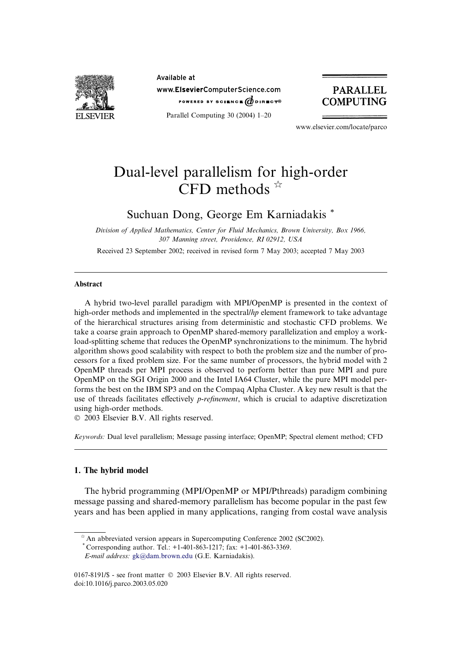

Available at www.ElsevierComputerScience.com POWERED BY SCIENCE  $d$  direct<sup>®</sup>

Parallel Computing 30 (2004) 1–20



www.elsevier.com/locate/parco

# Dual-level parallelism for high-order CFD methods  $\hat{X}$

# Suchuan Dong, George Em Karniadakis \*

Division of Applied Mathematics, Center for Fluid Mechanics, Brown University, Box 1966, 307 Manning street, Providence, RI 02912, USA

Received 23 September 2002; received in revised form 7 May 2003; accepted 7 May 2003

# **Abstract**

A hybrid two-level parallel paradigm with MPI/OpenMP is presented in the context of high-order methods and implemented in the spectral/hp element framework to take advantage of the hierarchical structures arising from deterministic and stochastic CFD problems. We take a coarse grain approach to OpenMP shared-memory parallelization and employ a workload-splitting scheme that reduces the OpenMP synchronizations to the minimum. The hybrid algorithm shows good scalability with respect to both the problem size and the number of processors for a fixed problem size. For the same number of processors, the hybrid model with 2 OpenMP threads per MPI process is observed to perform better than pure MPI and pure OpenMP on the SGI Origin 2000 and the Intel IA64 Cluster, while the pure MPI model performs the best on the IBM SP3 and on the Compaq Alpha Cluster. A key new result is that the use of threads facilitates effectively *p-refinement*, which is crucial to adaptive discretization using high-order methods.

2003 Elsevier B.V. All rights reserved.

Keywords: Dual level parallelism; Message passing interface; OpenMP; Spectral element method; CFD

# 1. The hybrid model

The hybrid programming (MPI/OpenMP or MPI/Pthreads) paradigm combining message passing and shared-memory parallelism has become popular in the past few years and has been applied in many applications, ranging from costal wave analysis

 $*$  An abbreviated version appears in Supercomputing Conference 2002 (SC2002).

<sup>\*</sup> Corresponding author. Tel.: +1-401-863-1217; fax: +1-401-863-3369.

E-mail address: [gk@dam.brown.edu](mail to: gk@dam.brown.edu) (G.E. Karniadakis).

<sup>0167-8191/\$ -</sup> see front matter  $\odot$  2003 Elsevier B.V. All rights reserved. doi:10.1016/j.parco.2003.05.020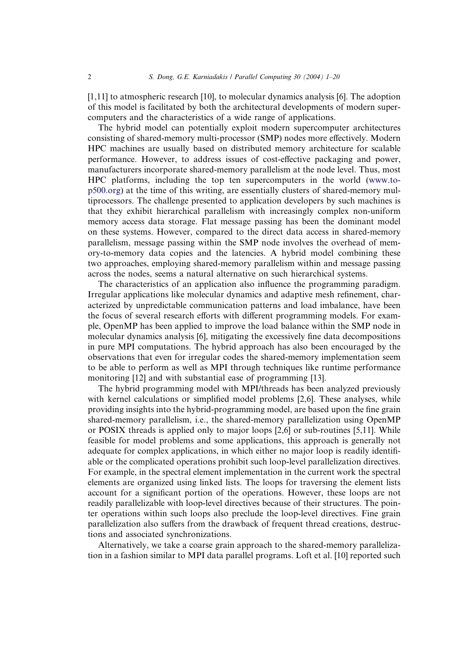[1,11] to atmospheric research [10], to molecular dynamics analysis [6]. The adoption of this model is facilitated by both the architectural developments of modern supercomputers and the characteristics of a wide range of applications.

The hybrid model can potentially exploit modern supercomputer architectures consisting of shared-memory multi-processor (SMP) nodes more effectively. Modern HPC machines are usually based on distributed memory architecture for scalable performance. However, to address issues of cost-effective packaging and power, manufacturers incorporate shared-memory parallelism at the node level. Thus, most HPC platforms, including the top ten supercomputers in the world ([www.to](http://www.top500.org)[p500.org](http://www.top500.org)) at the time of this writing, are essentially clusters of shared-memory multiprocessors. The challenge presented to application developers by such machines is that they exhibit hierarchical parallelism with increasingly complex non-uniform memory access data storage. Flat message passing has been the dominant model on these systems. However, compared to the direct data access in shared-memory parallelism, message passing within the SMP node involves the overhead of memory-to-memory data copies and the latencies. A hybrid model combining these two approaches, employing shared-memory parallelism within and message passing across the nodes, seems a natural alternative on such hierarchical systems.

The characteristics of an application also influence the programming paradigm. Irregular applications like molecular dynamics and adaptive mesh refinement, characterized by unpredictable communication patterns and load imbalance, have been the focus of several research efforts with different programming models. For example, OpenMP has been applied to improve the load balance within the SMP node in molecular dynamics analysis [6], mitigating the excessively fine data decompositions in pure MPI computations. The hybrid approach has also been encouraged by the observations that even for irregular codes the shared-memory implementation seem to be able to perform as well as MPI through techniques like runtime performance monitoring [12] and with substantial ease of programming [13].

The hybrid programming model with MPI/threads has been analyzed previously with kernel calculations or simplified model problems [2,6]. These analyses, while providing insights into the hybrid-programming model, are based upon the fine grain shared-memory parallelism, i.e., the shared-memory parallelization using OpenMP or POSIX threads is applied only to major loops [2,6] or sub-routines [5,11]. While feasible for model problems and some applications, this approach is generally not adequate for complex applications, in which either no major loop is readily identifiable or the complicated operations prohibit such loop-level parallelization directives. For example, in the spectral element implementation in the current work the spectral elements are organized using linked lists. The loops for traversing the element lists account for a significant portion of the operations. However, these loops are not readily parallelizable with loop-level directives because of their structures. The pointer operations within such loops also preclude the loop-level directives. Fine grain parallelization also suffers from the drawback of frequent thread creations, destructions and associated synchronizations.

Alternatively, we take a coarse grain approach to the shared-memory parallelization in a fashion similar to MPI data parallel programs. Loft et al. [10] reported such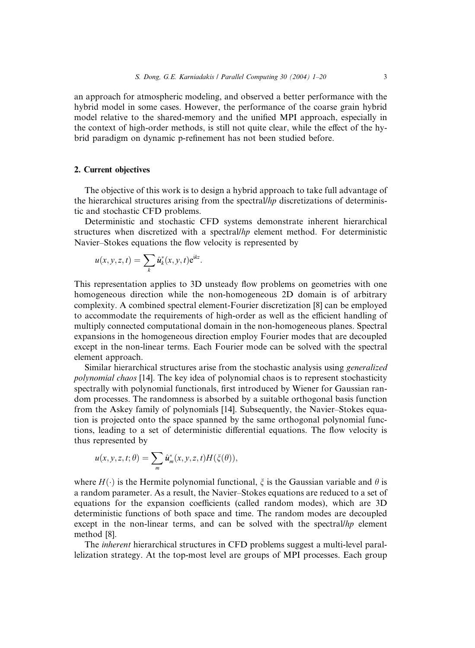an approach for atmospheric modeling, and observed a better performance with the hybrid model in some cases. However, the performance of the coarse grain hybrid model relative to the shared-memory and the unified MPI approach, especially in the context of high-order methods, is still not quite clear, while the effect of the hybrid paradigm on dynamic p-refinement has not been studied before.

# 2. Current objectives

The objective of this work is to design a hybrid approach to take full advantage of the hierarchical structures arising from the spectral/hp discretizations of deterministic and stochastic CFD problems.

Deterministic and stochastic CFD systems demonstrate inherent hierarchical structures when discretized with a spectral/ $h$ p element method. For deterministic Navier–Stokes equations the flow velocity is represented by

$$
u(x, y, z, t) = \sum_{k} \hat{u}_k^*(x, y, t) e^{ikz}.
$$

This representation applies to 3D unsteady flow problems on geometries with one homogeneous direction while the non-homogeneous 2D domain is of arbitrary complexity. A combined spectral element-Fourier discretization [8] can be employed to accommodate the requirements of high-order as well as the efficient handling of multiply connected computational domain in the non-homogeneous planes. Spectral expansions in the homogeneous direction employ Fourier modes that are decoupled except in the non-linear terms. Each Fourier mode can be solved with the spectral element approach.

Similar hierarchical structures arise from the stochastic analysis using generalized polynomial chaos [14]. The key idea of polynomial chaos is to represent stochasticity spectrally with polynomial functionals, first introduced by Wiener for Gaussian random processes. The randomness is absorbed by a suitable orthogonal basis function from the Askey family of polynomials [14]. Subsequently, the Navier–Stokes equation is projected onto the space spanned by the same orthogonal polynomial functions, leading to a set of deterministic differential equations. The flow velocity is thus represented by

$$
u(x, y, z, t; \theta) = \sum_{m} \hat{u}_m^*(x, y, z, t) H(\xi(\theta)),
$$

where  $H(\cdot)$  is the Hermite polynomial functional,  $\xi$  is the Gaussian variable and  $\theta$  is a random parameter. As a result, the Navier–Stokes equations are reduced to a set of equations for the expansion coefficients (called random modes), which are 3D deterministic functions of both space and time. The random modes are decoupled except in the non-linear terms, and can be solved with the spectral/ $hp$  element method [8].

The inherent hierarchical structures in CFD problems suggest a multi-level parallelization strategy. At the top-most level are groups of MPI processes. Each group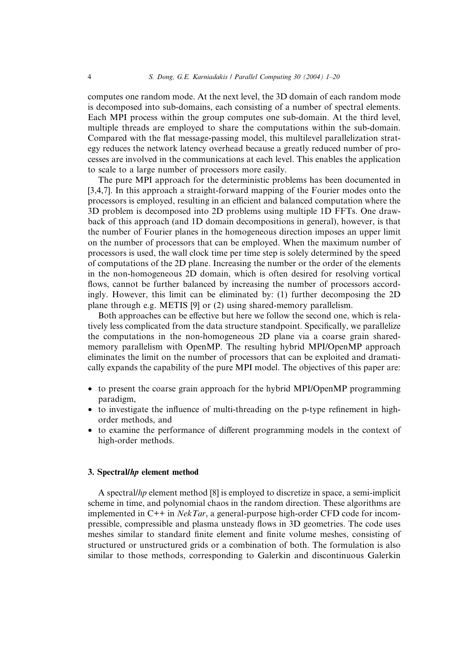computes one random mode. At the next level, the 3D domain of each random mode is decomposed into sub-domains, each consisting of a number of spectral elements. Each MPI process within the group computes one sub-domain. At the third level, multiple threads are employed to share the computations within the sub-domain. Compared with the flat message-passing model, this multilevel parallelization strategy reduces the network latency overhead because a greatly reduced number of processes are involved in the communications at each level. This enables the application to scale to a large number of processors more easily.

The pure MPI approach for the deterministic problems has been documented in [3,4,7]. In this approach a straight-forward mapping of the Fourier modes onto the processors is employed, resulting in an efficient and balanced computation where the 3D problem is decomposed into 2D problems using multiple 1D FFTs. One drawback of this approach (and 1D domain decompositions in general), however, is that the number of Fourier planes in the homogeneous direction imposes an upper limit on the number of processors that can be employed. When the maximum number of processors is used, the wall clock time per time step is solely determined by the speed of computations of the 2D plane. Increasing the number or the order of the elements in the non-homogeneous 2D domain, which is often desired for resolving vortical flows, cannot be further balanced by increasing the number of processors accordingly. However, this limit can be eliminated by: (1) further decomposing the 2D plane through e.g. METIS [9] or (2) using shared-memory parallelism.

Both approaches can be effective but here we follow the second one, which is relatively less complicated from the data structure standpoint. Specifically, we parallelize the computations in the non-homogeneous 2D plane via a coarse grain sharedmemory parallelism with OpenMP. The resulting hybrid MPI/OpenMP approach eliminates the limit on the number of processors that can be exploited and dramatically expands the capability of the pure MPI model. The objectives of this paper are:

- to present the coarse grain approach for the hybrid MPI/OpenMP programming paradigm,
- to investigate the influence of multi-threading on the p-type refinement in highorder methods, and
- to examine the performance of different programming models in the context of high-order methods.

## 3. Spectral/hp element method

A spectral/hp element method [8] is employed to discretize in space, a semi-implicit scheme in time, and polynomial chaos in the random direction. These algorithms are implemented in  $C++$  in *NekTar*, a general-purpose high-order CFD code for incompressible, compressible and plasma unsteady flows in 3D geometries. The code uses meshes similar to standard finite element and finite volume meshes, consisting of structured or unstructured grids or a combination of both. The formulation is also similar to those methods, corresponding to Galerkin and discontinuous Galerkin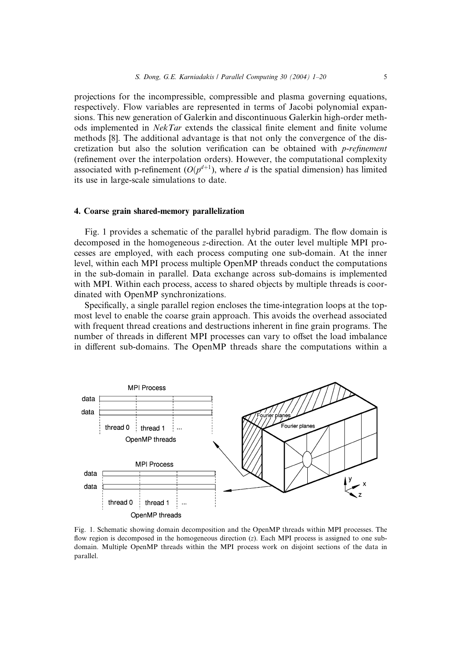projections for the incompressible, compressible and plasma governing equations, respectively. Flow variables are represented in terms of Jacobi polynomial expansions. This new generation of Galerkin and discontinuous Galerkin high-order methods implemented in NekTar extends the classical finite element and finite volume methods [8]. The additional advantage is that not only the convergence of the discretization but also the solution verification can be obtained with p-refinement (refinement over the interpolation orders). However, the computational complexity associated with p-refinement  $(O(p^{d+1}))$ , where d is the spatial dimension) has limited its use in large-scale simulations to date.

## 4. Coarse grain shared-memory parallelization

Fig. 1 provides a schematic of the parallel hybrid paradigm. The flow domain is decomposed in the homogeneous z-direction. At the outer level multiple MPI processes are employed, with each process computing one sub-domain. At the inner level, within each MPI process multiple OpenMP threads conduct the computations in the sub-domain in parallel. Data exchange across sub-domains is implemented with MPI. Within each process, access to shared objects by multiple threads is coordinated with OpenMP synchronizations.

Specifically, a single parallel region encloses the time-integration loops at the topmost level to enable the coarse grain approach. This avoids the overhead associated with frequent thread creations and destructions inherent in fine grain programs. The number of threads in different MPI processes can vary to offset the load imbalance in different sub-domains. The OpenMP threads share the computations within a



Fig. 1. Schematic showing domain decomposition and the OpenMP threads within MPI processes. The flow region is decomposed in the homogeneous direction (z). Each MPI process is assigned to one subdomain. Multiple OpenMP threads within the MPI process work on disjoint sections of the data in parallel.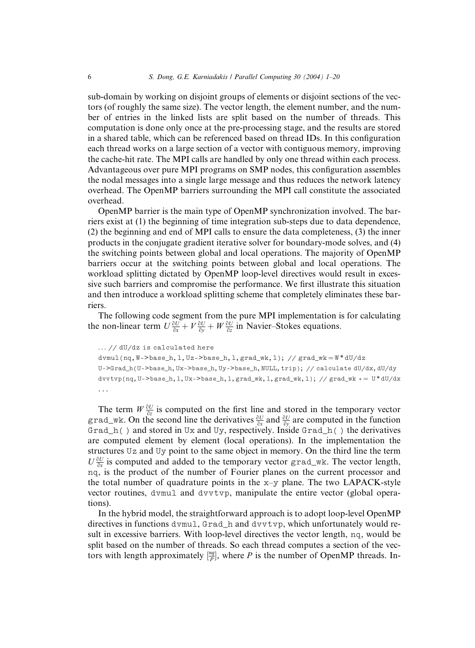sub-domain by working on disjoint groups of elements or disjoint sections of the vectors (of roughly the same size). The vector length, the element number, and the number of entries in the linked lists are split based on the number of threads. This computation is done only once at the pre-processing stage, and the results are stored in a shared table, which can be referenced based on thread IDs. In this configuration each thread works on a large section of a vector with contiguous memory, improving the cache-hit rate. The MPI calls are handled by only one thread within each process. Advantageous over pure MPI programs on SMP nodes, this configuration assembles the nodal messages into a single large message and thus reduces the network latency overhead. The OpenMP barriers surrounding the MPI call constitute the associated overhead.

OpenMP barrier is the main type of OpenMP synchronization involved. The barriers exist at (1) the beginning of time integration sub-steps due to data dependence, (2) the beginning and end of MPI calls to ensure the data completeness, (3) the inner products in the conjugate gradient iterative solver for boundary-mode solves, and (4) the switching points between global and local operations. The majority of OpenMP barriers occur at the switching points between global and local operations. The workload splitting dictated by OpenMP loop-level directives would result in excessive such barriers and compromise the performance. We first illustrate this situation and then introduce a workload splitting scheme that completely eliminates these barriers.

The following code segment from the pure MPI implementation is for calculating the non-linear term  $U \frac{\partial U}{\partial x} + V \frac{\partial U}{\partial y} + W \frac{\partial U}{\partial z}$  in Navier–Stokes equations.

```
... // dU/dz is calculated here
dvmul(nq, W->base_h, 1, Uz->base_h, 1, grad_wk, 1); // grad_wk = W* dU/dzU->Grad_h(U->base_h,Ux->base_h,Uy->base_h,NULL,trip); // calculate dU/dx,dU/dy
dvvtvp(nq, U->base_h, 1, Ux->base_h, 1, grad_wk, 1, grad_wk, 1); // grad_wk + = U*dU/dx
...
```
The term  $W \frac{\partial U}{\partial z}$  is computed on the first line and stored in the temporary vector grad\_wk. On the second line the derivatives  $\frac{\partial U}{\partial x}$  and  $\frac{\partial U}{\partial y}$  are computed in the function Grad<sub>\_h</sub>() and stored in Ux and Uy, respectively. Inside Grad\_h() the derivatives are computed element by element (local operations). In the implementation the structures Uz and Uy point to the same object in memory. On the third line the term  $U \frac{\partial U}{\partial x}$  is computed and added to the temporary vector grad\_wk. The vector length, nq, is the product of the number of Fourier planes on the current processor and the total number of quadrature points in the x–y plane. The two LAPACK-style vector routines, dvmul and dvvtvp, manipulate the entire vector (global operations).

In the hybrid model, the straightforward approach is to adopt loop-level OpenMP directives in functions dvmul, Grad\_h and dvvtvp, which unfortunately would result in excessive barriers. With loop-level directives the vector length, nq, would be split based on the number of threads. So each thread computes a section of the vectors with length approximately  $\frac{mq}{p}$ , where P is the number of OpenMP threads. In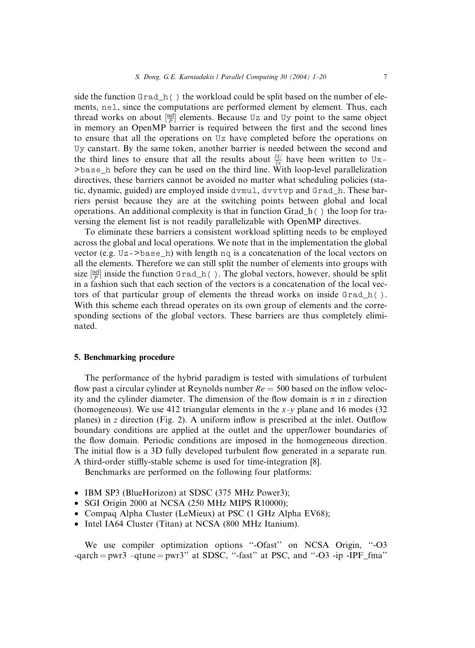side the function Grad  $h()$  the workload could be split based on the number of elements, nel, since the computations are performed element by element. Thus, each thread works on about  $\frac{[ne]}{P}$  elements. Because Uz and Uy point to the same object in memory an OpenMP barrier is required between the first and the second lines to ensure that all the operations on Uz have completed before the operations on Uy canstart. By the same token, another barrier is needed between the second and the third lines to ensure that all the results about  $\frac{\partial U}{\partial x}$  have been written to Ux->base\_h before they can be used on the third line. With loop-level parallelization directives, these barriers cannot be avoided no matter what scheduling policies (static, dynamic, guided) are employed inside dvmul, dvvtvp and Grad\_h. These barriers persist because they are at the switching points between global and local operations. An additional complexity is that in function  $Grad_h()$  the loop for traversing the element list is not readily parallelizable with OpenMP directives.

To eliminate these barriers a consistent workload splitting needs to be employed across the global and local operations. We note that in the implementation the global vector (e.g.  $Uz$  ->base\_h) with length nq is a concatenation of the local vectors on all the elements. Therefore we can still split the number of elements into groups with size  $\frac{[nel]}{P}$  inside the function Grad<sub>h</sub>( ). The global vectors, however, should be split in a fashion such that each section of the vectors is a concatenation of the local vectors of that particular group of elements the thread works on inside Grad\_h( ). With this scheme each thread operates on its own group of elements and the corresponding sections of the global vectors. These barriers are thus completely eliminated.

# 5. Benchmarking procedure

The performance of the hybrid paradigm is tested with simulations of turbulent flow past a circular cylinder at Reynolds number  $Re = 500$  based on the inflow velocity and the cylinder diameter. The dimension of the flow domain is  $\pi$  in z direction (homogeneous). We use 412 triangular elements in the  $x-y$  plane and 16 modes (32) planes) in z direction (Fig. 2). A uniform inflow is prescribed at the inlet. Outflow boundary conditions are applied at the outlet and the upper/lower boundaries of the flow domain. Periodic conditions are imposed in the homogeneous direction. The initial flow is a 3D fully developed turbulent flow generated in a separate run. A third-order stiffly-stable scheme is used for time-integration [8].

Benchmarks are performed on the following four platforms:

- IBM SP3 (BlueHorizon) at SDSC (375 MHz Power3);
- SGI Origin 2000 at NCSA (250 MHz MIPS R10000);
- Compaq Alpha Cluster (LeMieux) at PSC (1 GHz Alpha EV68);
- Intel IA64 Cluster (Titan) at NCSA (800 MHz Itanium).

We use compiler optimization options "-Ofast" on NCSA Origin, "-O3 -qarch  $=$  pwr3  $-$ qtune  $=$  pwr3'' at SDSC, "-fast" at PSC, and "-O3 -ip -IPF\_fma"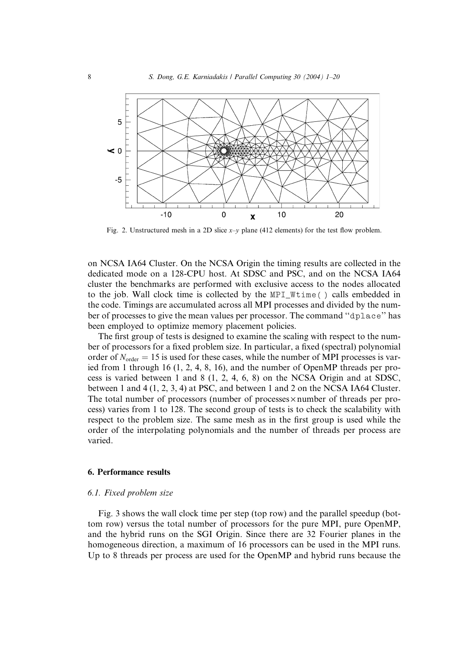

Fig. 2. Unstructured mesh in a 2D slice  $x-y$  plane (412 elements) for the test flow problem.

on NCSA IA64 Cluster. On the NCSA Origin the timing results are collected in the dedicated mode on a 128-CPU host. At SDSC and PSC, and on the NCSA IA64 cluster the benchmarks are performed with exclusive access to the nodes allocated to the job. Wall clock time is collected by the MPI\_Wtime( ) calls embedded in the code. Timings are accumulated across all MPI processes and divided by the number of processes to give the mean values per processor. The command ''dplace'' has been employed to optimize memory placement policies.

The first group of tests is designed to examine the scaling with respect to the number of processors for a fixed problem size. In particular, a fixed (spectral) polynomial order of  $N_{\text{order}} = 15$  is used for these cases, while the number of MPI processes is varied from 1 through 16 (1, 2, 4, 8, 16), and the number of OpenMP threads per process is varied between 1 and 8 (1, 2, 4, 6, 8) on the NCSA Origin and at SDSC, between 1 and 4 (1, 2, 3, 4) at PSC, and between 1 and 2 on the NCSA IA64 Cluster. The total number of processors (number of processes  $\times$  number of threads per process) varies from 1 to 128. The second group of tests is to check the scalability with respect to the problem size. The same mesh as in the first group is used while the order of the interpolating polynomials and the number of threads per process are varied.

# 6. Performance results

## 6.1. Fixed problem size

Fig. 3 shows the wall clock time per step (top row) and the parallel speedup (bottom row) versus the total number of processors for the pure MPI, pure OpenMP, and the hybrid runs on the SGI Origin. Since there are 32 Fourier planes in the homogeneous direction, a maximum of 16 processors can be used in the MPI runs. Up to 8 threads per process are used for the OpenMP and hybrid runs because the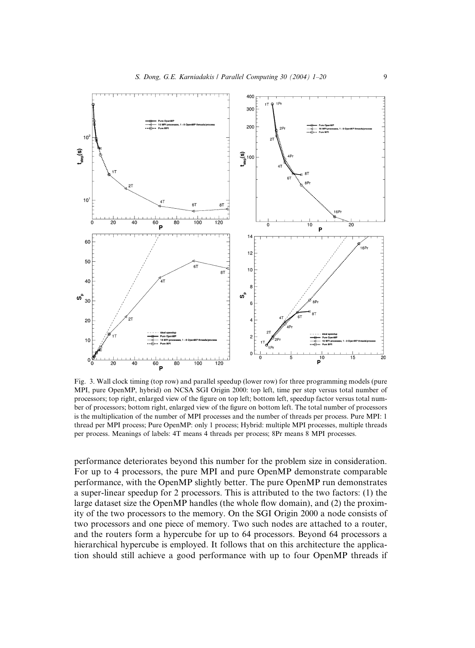

Fig. 3. Wall clock timing (top row) and parallel speedup (lower row) for three programming models (pure MPI, pure OpenMP, hybrid) on NCSA SGI Origin 2000: top left, time per step versus total number of processors; top right, enlarged view of the figure on top left; bottom left, speedup factor versus total number of processors; bottom right, enlarged view of the figure on bottom left. The total number of processors is the multiplication of the number of MPI processes and the number of threads per process. Pure MPI: 1 thread per MPI process; Pure OpenMP: only 1 process; Hybrid: multiple MPI processes, multiple threads per process. Meanings of labels: 4T means 4 threads per process; 8Pr means 8 MPI processes.

performance deteriorates beyond this number for the problem size in consideration. For up to 4 processors, the pure MPI and pure OpenMP demonstrate comparable performance, with the OpenMP slightly better. The pure OpenMP run demonstrates a super-linear speedup for 2 processors. This is attributed to the two factors: (1) the large dataset size the OpenMP handles (the whole flow domain), and (2) the proximity of the two processors to the memory. On the SGI Origin 2000 a node consists of two processors and one piece of memory. Two such nodes are attached to a router, and the routers form a hypercube for up to 64 processors. Beyond 64 processors a hierarchical hypercube is employed. It follows that on this architecture the application should still achieve a good performance with up to four OpenMP threads if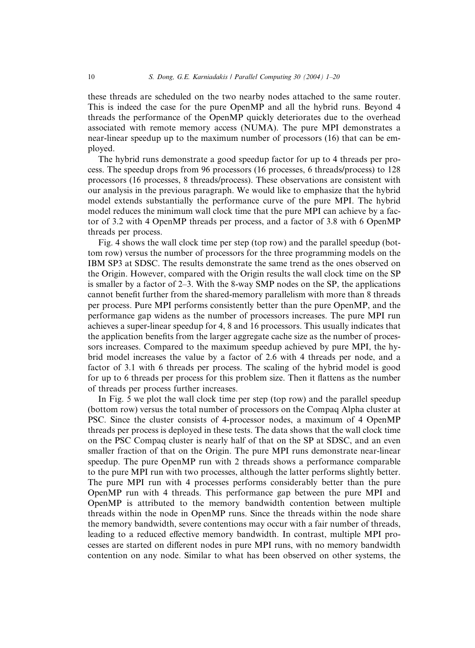these threads are scheduled on the two nearby nodes attached to the same router. This is indeed the case for the pure OpenMP and all the hybrid runs. Beyond 4 threads the performance of the OpenMP quickly deteriorates due to the overhead associated with remote memory access (NUMA). The pure MPI demonstrates a near-linear speedup up to the maximum number of processors (16) that can be employed.

The hybrid runs demonstrate a good speedup factor for up to 4 threads per process. The speedup drops from 96 processors (16 processes, 6 threads/process) to 128 processors (16 processes, 8 threads/process). These observations are consistent with our analysis in the previous paragraph. We would like to emphasize that the hybrid model extends substantially the performance curve of the pure MPI. The hybrid model reduces the minimum wall clock time that the pure MPI can achieve by a factor of 3.2 with 4 OpenMP threads per process, and a factor of 3.8 with 6 OpenMP threads per process.

Fig. 4 shows the wall clock time per step (top row) and the parallel speedup (bottom row) versus the number of processors for the three programming models on the IBM SP3 at SDSC. The results demonstrate the same trend as the ones observed on the Origin. However, compared with the Origin results the wall clock time on the SP is smaller by a factor of 2–3. With the 8-way SMP nodes on the SP, the applications cannot benefit further from the shared-memory parallelism with more than 8 threads per process. Pure MPI performs consistently better than the pure OpenMP, and the performance gap widens as the number of processors increases. The pure MPI run achieves a super-linear speedup for 4, 8 and 16 processors. This usually indicates that the application benefits from the larger aggregate cache size as the number of processors increases. Compared to the maximum speedup achieved by pure MPI, the hybrid model increases the value by a factor of 2.6 with 4 threads per node, and a factor of 3.1 with 6 threads per process. The scaling of the hybrid model is good for up to 6 threads per process for this problem size. Then it flattens as the number of threads per process further increases.

In Fig. 5 we plot the wall clock time per step (top row) and the parallel speedup (bottom row) versus the total number of processors on the Compaq Alpha cluster at PSC. Since the cluster consists of 4-processor nodes, a maximum of 4 OpenMP threads per process is deployed in these tests. The data shows that the wall clock time on the PSC Compaq cluster is nearly half of that on the SP at SDSC, and an even smaller fraction of that on the Origin. The pure MPI runs demonstrate near-linear speedup. The pure OpenMP run with 2 threads shows a performance comparable to the pure MPI run with two processes, although the latter performs slightly better. The pure MPI run with 4 processes performs considerably better than the pure OpenMP run with 4 threads. This performance gap between the pure MPI and OpenMP is attributed to the memory bandwidth contention between multiple threads within the node in OpenMP runs. Since the threads within the node share the memory bandwidth, severe contentions may occur with a fair number of threads, leading to a reduced effective memory bandwidth. In contrast, multiple MPI processes are started on different nodes in pure MPI runs, with no memory bandwidth contention on any node. Similar to what has been observed on other systems, the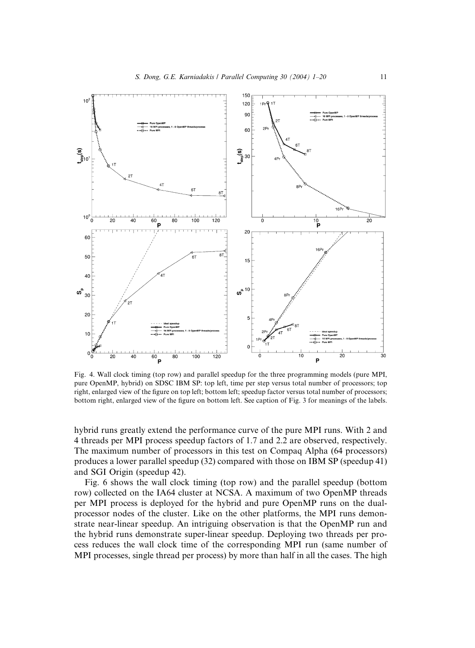

Fig. 4. Wall clock timing (top row) and parallel speedup for the three programming models (pure MPI, pure OpenMP, hybrid) on SDSC IBM SP: top left, time per step versus total number of processors; top right, enlarged view of the figure on top left; bottom left; speedup factor versus total number of processors; bottom right, enlarged view of the figure on bottom left. See caption of Fig. 3 for meanings of the labels.

hybrid runs greatly extend the performance curve of the pure MPI runs. With 2 and 4 threads per MPI process speedup factors of 1.7 and 2.2 are observed, respectively. The maximum number of processors in this test on Compaq Alpha (64 processors) produces a lower parallel speedup (32) compared with those on IBM SP (speedup 41) and SGI Origin (speedup 42).

Fig. 6 shows the wall clock timing (top row) and the parallel speedup (bottom row) collected on the IA64 cluster at NCSA. A maximum of two OpenMP threads per MPI process is deployed for the hybrid and pure OpenMP runs on the dualprocessor nodes of the cluster. Like on the other platforms, the MPI runs demonstrate near-linear speedup. An intriguing observation is that the OpenMP run and the hybrid runs demonstrate super-linear speedup. Deploying two threads per process reduces the wall clock time of the corresponding MPI run (same number of MPI processes, single thread per process) by more than half in all the cases. The high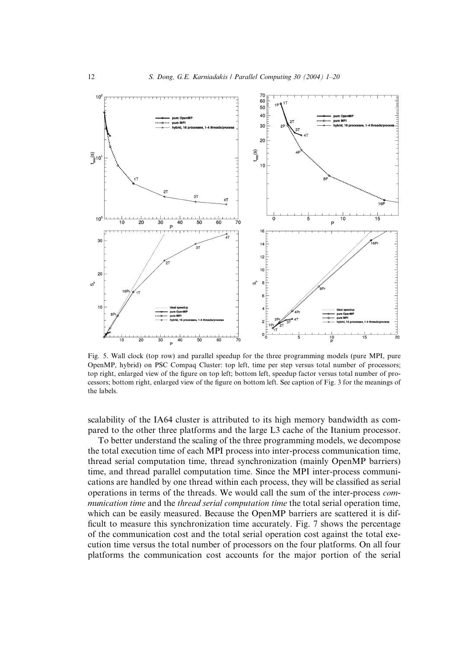

Fig. 5. Wall clock (top row) and parallel speedup for the three programming models (pure MPI, pure OpenMP, hybrid) on PSC Compaq Cluster: top left, time per step versus total number of processors; top right, enlarged view of the figure on top left; bottom left, speedup factor versus total number of processors; bottom right, enlarged view of the figure on bottom left. See caption of Fig. 3 for the meanings of the labels.

scalability of the IA64 cluster is attributed to its high memory bandwidth as compared to the other three platforms and the large L3 cache of the Itanium processor.

To better understand the scaling of the three programming models, we decompose the total execution time of each MPI process into inter-process communication time, thread serial computation time, thread synchronization (mainly OpenMP barriers) time, and thread parallel computation time. Since the MPI inter-process communications are handled by one thread within each process, they will be classified as serial operations in terms of the threads. We would call the sum of the inter-process communication time and the thread serial computation time the total serial operation time, which can be easily measured. Because the OpenMP barriers are scattered it is difficult to measure this synchronization time accurately. Fig. 7 shows the percentage of the communication cost and the total serial operation cost against the total execution time versus the total number of processors on the four platforms. On all four platforms the communication cost accounts for the major portion of the serial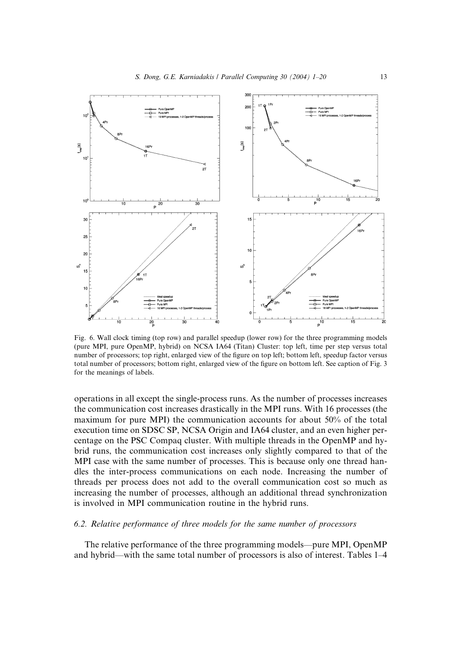

Fig. 6. Wall clock timing (top row) and parallel speedup (lower row) for the three programming models (pure MPI, pure OpenMP, hybrid) on NCSA IA64 (Titan) Cluster: top left, time per step versus total number of processors; top right, enlarged view of the figure on top left; bottom left, speedup factor versus total number of processors; bottom right, enlarged view of the figure on bottom left. See caption of Fig. 3 for the meanings of labels.

operations in all except the single-process runs. As the number of processes increases the communication cost increases drastically in the MPI runs. With 16 processes (the maximum for pure MPI) the communication accounts for about 50% of the total execution time on SDSC SP, NCSA Origin and IA64 cluster, and an even higher percentage on the PSC Compaq cluster. With multiple threads in the OpenMP and hybrid runs, the communication cost increases only slightly compared to that of the MPI case with the same number of processes. This is because only one thread handles the inter-process communications on each node. Increasing the number of threads per process does not add to the overall communication cost so much as increasing the number of processes, although an additional thread synchronization is involved in MPI communication routine in the hybrid runs.

# 6.2. Relative performance of three models for the same number of processors

The relative performance of the three programming models––pure MPI, OpenMP and hybrid––with the same total number of processors is also of interest. Tables 1–4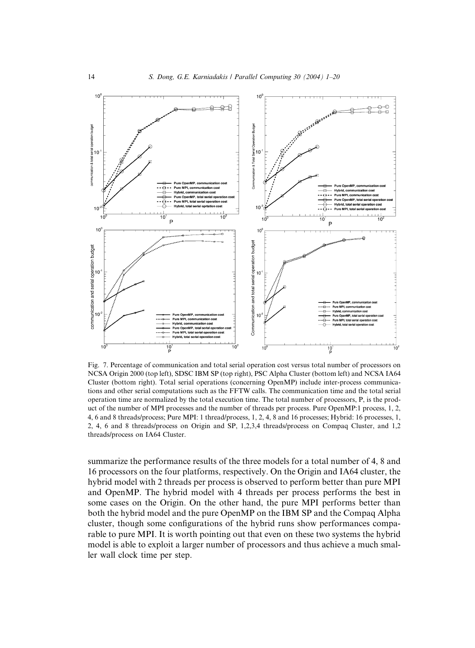

Fig. 7. Percentage of communication and total serial operation cost versus total number of processors on NCSA Origin 2000 (top left), SDSC IBM SP (top right), PSC Alpha Cluster (bottom left) and NCSA IA64 Cluster (bottom right). Total serial operations (concerning OpenMP) include inter-process communications and other serial computations such as the FFTW calls. The communication time and the total serial operation time are normalized by the total execution time. The total number of processors, P, is the product of the number of MPI processes and the number of threads per process. Pure OpenMP:1 process, 1, 2, 4, 6 and 8 threads/process; Pure MPI: 1 thread/process, 1, 2, 4, 8 and 16 processes; Hybrid: 16 processes, 1, 2, 4, 6 and 8 threads/process on Origin and SP, 1,2,3,4 threads/process on Compaq Cluster, and 1,2 threads/process on IA64 Cluster.

summarize the performance results of the three models for a total number of 4, 8 and 16 processors on the four platforms, respectively. On the Origin and IA64 cluster, the hybrid model with 2 threads per process is observed to perform better than pure MPI and OpenMP. The hybrid model with 4 threads per process performs the best in some cases on the Origin. On the other hand, the pure MPI performs better than both the hybrid model and the pure OpenMP on the IBM SP and the Compaq Alpha cluster, though some configurations of the hybrid runs show performances comparable to pure MPI. It is worth pointing out that even on these two systems the hybrid model is able to exploit a larger number of processors and thus achieve a much smaller wall clock time per step.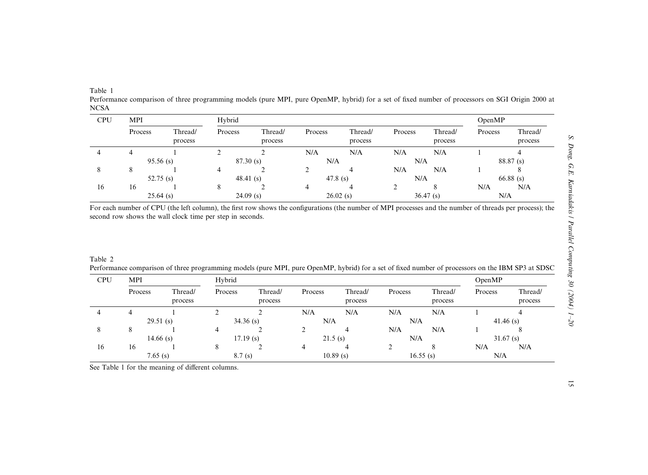Table 1

Performance comparison of three programming models (pure MPI, pure OpenMP, hybrid) for <sup>a</sup> set of fixed number of processors on SGI Origin 2000 at NCSA

| <b>CPU</b> | <b>MPI</b>  |                    | Hybrid      |                    |             |                    |          |                    |           | OpenMP             |  |
|------------|-------------|--------------------|-------------|--------------------|-------------|--------------------|----------|--------------------|-----------|--------------------|--|
|            | Process     | Thread/<br>process | Process     | Thread/<br>process | Process     | Thread/<br>process | Process  | Thread/<br>process | Process   | Thread/<br>process |  |
| 4          | 4           |                    |             |                    | N/A         | N/A                | N/A      | N/A                |           |                    |  |
|            | $95.56$ (s) |                    | 87.30(s)    |                    | N/A         |                    | N/A      |                    | 88.87 (s) |                    |  |
| Ō          | 8           |                    | 4           |                    |             |                    | N/A      | N/A                |           |                    |  |
|            |             | 52.75 $(s)$        |             | 48.41(s)           |             | 47.8 $(s)$         |          | N/A                |           | $66.88$ (s)        |  |
| 16         | 16          |                    |             |                    | 4           |                    |          |                    | N/A       | N/A                |  |
|            | $25.64$ (s) |                    | $24.09$ (s) |                    | $26.02$ (s) |                    | 36.47(s) |                    | N/A       |                    |  |

For each number of CPU (the left column), the first row shows the configurations (the number of MPI processes and the number of threads per process); the second row shows the wall clock time per step in seconds.

Table 2Performance comparison of three programming models (pure MPI, pure OpenMP, hybrid) for <sup>a</sup> set of fixed number of processors on the IBM SP3 at SDSC

| <b>CPU</b> | MPI         |                    | Hybrid      |                    |         |                    |         |                    |             | OpenMP             |  |
|------------|-------------|--------------------|-------------|--------------------|---------|--------------------|---------|--------------------|-------------|--------------------|--|
|            | Process     | Thread/<br>process | Process     | Thread/<br>process | Process | Thread/<br>process | Process | Thread/<br>process | Process     | Thread/<br>process |  |
| 4          |             |                    |             |                    | N/A     | N/A                | N/A     | N/A                |             | 4                  |  |
|            | 29.51(s)    |                    | $34.36$ (s) |                    | N/A     |                    | N/A     |                    | 41.46 $(s)$ |                    |  |
| 8          | δ           |                    |             |                    |         | 4                  | N/A     | N/A                |             | Ō                  |  |
|            | 14.66 $(s)$ |                    | $17.19$ (s) |                    | 21.5(s) |                    | N/A     |                    | $31.67$ (s) |                    |  |
| 16         | 16          |                    | 8           |                    |         | $\overline{a}$     |         | 8                  | N/A         | N/A                |  |
|            | 7.65(s)     |                    | 8.7(s)      |                    |         | $10.89$ (s)        |         | $16.55$ (s)        | N/A         |                    |  |

See Table 1 for the meaning of different columns.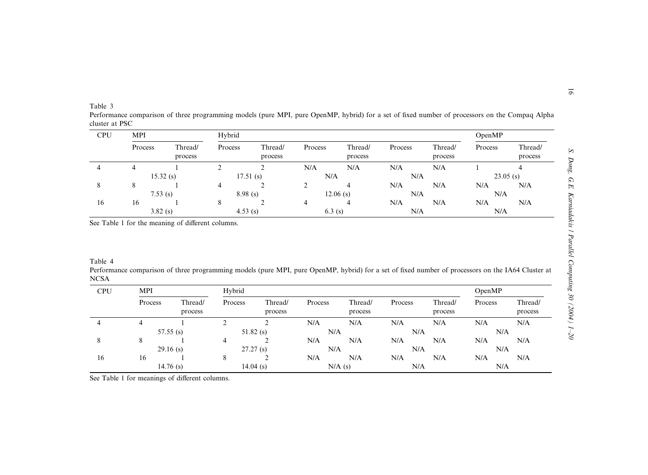| <b>Table</b> |  |
|--------------|--|
|              |  |

 Performance comparison of three programming models (pure MPI, pure OpenMP, hybrid) for <sup>a</sup> set of fixed number of processors on the Compaq Alpha cluster at PSC

| CPU | <b>MPI</b>  |                    | Hybrid      |                    |         |                    |         |                    |             | OpenMP             |  |
|-----|-------------|--------------------|-------------|--------------------|---------|--------------------|---------|--------------------|-------------|--------------------|--|
|     | Process     | Thread/<br>process | Process     | Thread/<br>process | Process | Thread/<br>process | Process | Thread/<br>process | Process     | Thread/<br>process |  |
| 4   |             |                    |             |                    | N/A     | N/A                | N/A     | N/A                |             |                    |  |
|     | $15.32$ (s) |                    | $17.51$ (s) |                    | N/A     |                    | N/A     |                    | $23.05$ (s) |                    |  |
| 8   | 8           |                    | 4           |                    |         | 4                  | N/A     | N/A                | N/A         | N/A                |  |
|     |             | 7.53(s)            |             | 8.98(s)            |         | $12.06$ (s)        |         | N/A                |             | N/A                |  |
| 16  | 16          |                    | 8           |                    | 4       | 4                  | N/A     | N/A                | N/A         | N/A                |  |
|     | 3.82(s)     |                    | 4.53(s)     |                    | 6.3(s)  |                    | N/A     |                    | N/A         |                    |  |

See Table 1 for the meaning of different columns.

Table 4

Performance comparison of three programming models (pure MPI, pure OpenMP, hybrid) for <sup>a</sup> set of fixed number of processors on the IA64 Cluster at NCSA

| CPU | MPI         |                    | Hybrid      |                    |         |                    |         |                    |         | OpenMP             |  |
|-----|-------------|--------------------|-------------|--------------------|---------|--------------------|---------|--------------------|---------|--------------------|--|
|     | Process     | Thread/<br>process | Process     | Thread/<br>process | Process | Thread/<br>process | Process | Thread/<br>process | Process | Thread/<br>process |  |
| 4   |             |                    |             |                    | N/A     | N/A                | N/A     | N/A                | N/A     | N/A                |  |
|     | $57.55$ (s) |                    | $51.82$ (s) |                    | N/A     |                    | N/A     |                    | N/A     |                    |  |
| 8   | 8           |                    | 4           |                    | N/A     | N/A                | N/A     | N/A                | N/A     | N/A                |  |
|     | $29.16$ (s) |                    | 27.27(s)    |                    | N/A     |                    | N/A     |                    | N/A     |                    |  |
| 16  | 16          |                    |             |                    | N/A     | N/A                | N/A     | N/A                | N/A     | N/A                |  |
|     |             | $14.76$ (s)        |             | $14.04$ (s)        |         | N/A(s)             | N/A     |                    | N/A     |                    |  |

See Table 1 for meanings of different columns.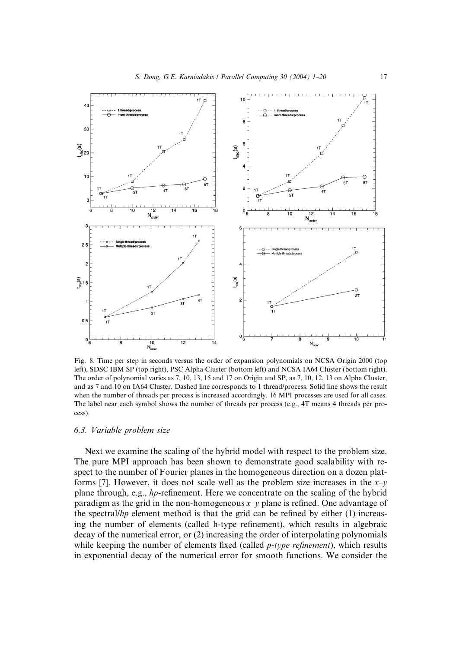

Fig. 8. Time per step in seconds versus the order of expansion polynomials on NCSA Origin 2000 (top left), SDSC IBM SP (top right), PSC Alpha Cluster (bottom left) and NCSA IA64 Cluster (bottom right). The order of polynomial varies as 7, 10, 13, 15 and 17 on Origin and SP, as 7, 10, 12, 13 on Alpha Cluster, and as 7 and 10 on IA64 Cluster. Dashed line corresponds to 1 thread/process. Solid line shows the result when the number of threads per process is increased accordingly. 16 MPI processes are used for all cases. The label near each symbol shows the number of threads per process (e.g., 4T means 4 threads per process).

# 6.3. Variable problem size

Next we examine the scaling of the hybrid model with respect to the problem size. The pure MPI approach has been shown to demonstrate good scalability with respect to the number of Fourier planes in the homogeneous direction on a dozen platforms [7]. However, it does not scale well as the problem size increases in the  $x-y$ plane through, e.g., hp-refinement. Here we concentrate on the scaling of the hybrid paradigm as the grid in the non-homogeneous  $x-y$  plane is refined. One advantage of the spectral/hp element method is that the grid can be refined by either (1) increasing the number of elements (called h-type refinement), which results in algebraic decay of the numerical error, or (2) increasing the order of interpolating polynomials while keeping the number of elements fixed (called  $p$ -type refinement), which results in exponential decay of the numerical error for smooth functions. We consider the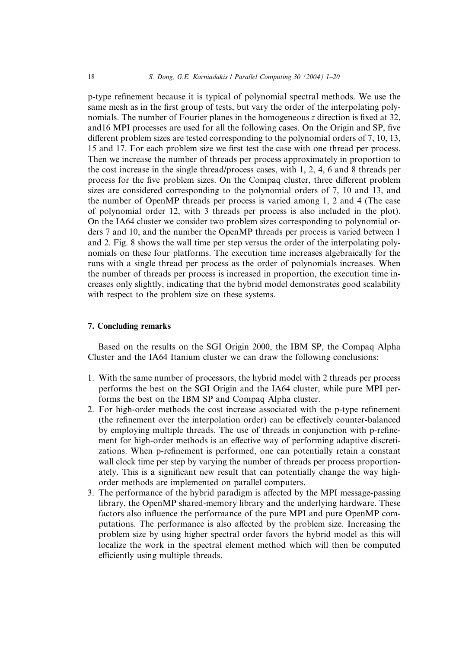p-type refinement because it is typical of polynomial spectral methods. We use the same mesh as in the first group of tests, but vary the order of the interpolating polynomials. The number of Fourier planes in the homogeneous z direction is fixed at 32, and16 MPI processes are used for all the following cases. On the Origin and SP, five different problem sizes are tested corresponding to the polynomial orders of 7, 10, 13, 15 and 17. For each problem size we first test the case with one thread per process. Then we increase the number of threads per process approximately in proportion to the cost increase in the single thread/process cases, with 1, 2, 4, 6 and 8 threads per process for the five problem sizes. On the Compaq cluster, three different problem sizes are considered corresponding to the polynomial orders of 7, 10 and 13, and the number of OpenMP threads per process is varied among 1, 2 and 4 (The case of polynomial order 12, with 3 threads per process is also included in the plot). On the IA64 cluster we consider two problem sizes corresponding to polynomial orders 7 and 10, and the number the OpenMP threads per process is varied between 1 and 2. Fig. 8 shows the wall time per step versus the order of the interpolating polynomials on these four platforms. The execution time increases algebraically for the runs with a single thread per process as the order of polynomials increases. When the number of threads per process is increased in proportion, the execution time increases only slightly, indicating that the hybrid model demonstrates good scalability with respect to the problem size on these systems.

# 7. Concluding remarks

Based on the results on the SGI Origin 2000, the IBM SP, the Compaq Alpha Cluster and the IA64 Itanium cluster we can draw the following conclusions:

- 1. With the same number of processors, the hybrid model with 2 threads per process performs the best on the SGI Origin and the IA64 cluster, while pure MPI performs the best on the IBM SP and Compaq Alpha cluster.
- 2. For high-order methods the cost increase associated with the p-type refinement (the refinement over the interpolation order) can be effectively counter-balanced by employing multiple threads. The use of threads in conjunction with p-refinement for high-order methods is an effective way of performing adaptive discretizations. When p-refinement is performed, one can potentially retain a constant wall clock time per step by varying the number of threads per process proportionately. This is a significant new result that can potentially change the way highorder methods are implemented on parallel computers.
- 3. The performance of the hybrid paradigm is affected by the MPI message-passing library, the OpenMP shared-memory library and the underlying hardware. These factors also influence the performance of the pure MPI and pure OpenMP computations. The performance is also affected by the problem size. Increasing the problem size by using higher spectral order favors the hybrid model as this will localize the work in the spectral element method which will then be computed efficiently using multiple threads.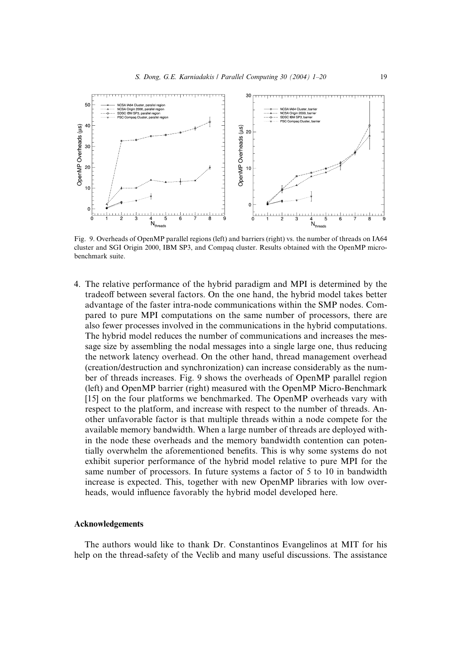

Fig. 9. Overheads of OpenMP parallel regions (left) and barriers (right) vs. the number of threads on IA64 cluster and SGI Origin 2000, IBM SP3, and Compaq cluster. Results obtained with the OpenMP microbenchmark suite.

4. The relative performance of the hybrid paradigm and MPI is determined by the tradeoff between several factors. On the one hand, the hybrid model takes better advantage of the faster intra-node communications within the SMP nodes. Compared to pure MPI computations on the same number of processors, there are also fewer processes involved in the communications in the hybrid computations. The hybrid model reduces the number of communications and increases the message size by assembling the nodal messages into a single large one, thus reducing the network latency overhead. On the other hand, thread management overhead (creation/destruction and synchronization) can increase considerably as the number of threads increases. Fig. 9 shows the overheads of OpenMP parallel region (left) and OpenMP barrier (right) measured with the OpenMP Micro-Benchmark [15] on the four platforms we benchmarked. The OpenMP overheads vary with respect to the platform, and increase with respect to the number of threads. Another unfavorable factor is that multiple threads within a node compete for the available memory bandwidth. When a large number of threads are deployed within the node these overheads and the memory bandwidth contention can potentially overwhelm the aforementioned benefits. This is why some systems do not exhibit superior performance of the hybrid model relative to pure MPI for the same number of processors. In future systems a factor of 5 to 10 in bandwidth increase is expected. This, together with new OpenMP libraries with low overheads, would influence favorably the hybrid model developed here.

# Acknowledgements

The authors would like to thank Dr. Constantinos Evangelinos at MIT for his help on the thread-safety of the Veclib and many useful discussions. The assistance